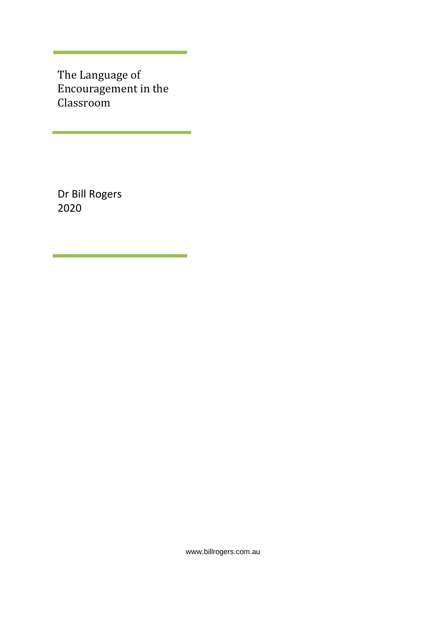The Language of Encouragement in the Classroom

<u> 1989 - Johann Barnett, mars et al. 1989 - Anna anno 1989 - Anna anno 1989 - Anna anno 1989 - Anna anno 1989 -</u>

Dr Bill Rogers 2020

www.billrogers.com.au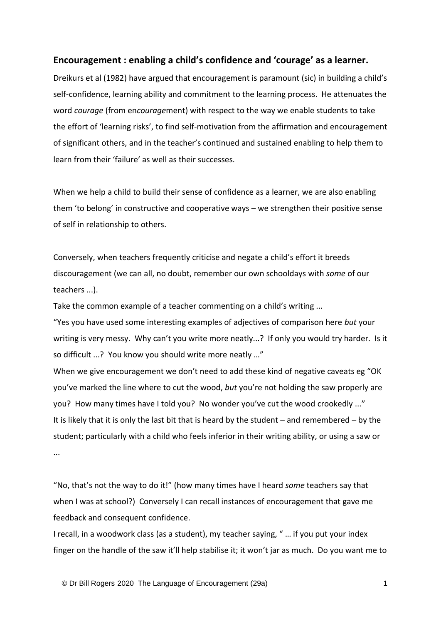## **Encouragement : enabling a child's confidence and 'courage' as a learner.**

Dreikurs et al (1982) have argued that encouragement is paramount (sic) in building a child's self-confidence, learning ability and commitment to the learning process. He attenuates the word *courage* (from en*courage*ment) with respect to the way we enable students to take the effort of 'learning risks', to find self-motivation from the affirmation and encouragement of significant others, and in the teacher's continued and sustained enabling to help them to learn from their 'failure' as well as their successes.

When we help a child to build their sense of confidence as a learner, we are also enabling them 'to belong' in constructive and cooperative ways – we strengthen their positive sense of self in relationship to others.

Conversely, when teachers frequently criticise and negate a child's effort it breeds discouragement (we can all, no doubt, remember our own schooldays with *some* of our teachers ...).

Take the common example of a teacher commenting on a child's writing ...

"Yes you have used some interesting examples of adjectives of comparison here *but* your writing is very messy. Why can't you write more neatly...? If only you would try harder. Is it so difficult ...? You know you should write more neatly …"

When we give encouragement we don't need to add these kind of negative caveats eg "OK you've marked the line where to cut the wood, *but* you're not holding the saw properly are you? How many times have I told you? No wonder you've cut the wood crookedly ..." It is likely that it is only the last bit that is heard by the student – and remembered – by the student; particularly with a child who feels inferior in their writing ability, or using a saw or ...

"No, that's not the way to do it!" (how many times have I heard *some* teachers say that when I was at school?) Conversely I can recall instances of encouragement that gave me feedback and consequent confidence.

I recall, in a woodwork class (as a student), my teacher saying, " … if you put your index finger on the handle of the saw it'll help stabilise it; it won't jar as much. Do you want me to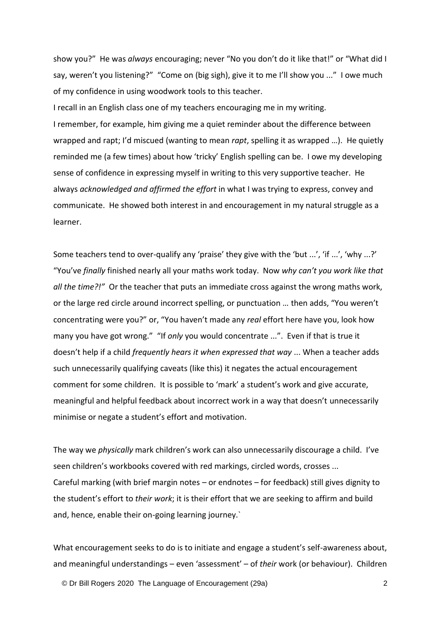show you?" He was *always* encouraging; never "No you don't do it like that!" or "What did I say, weren't you listening?" "Come on (big sigh), give it to me I'll show you ..." I owe much of my confidence in using woodwork tools to this teacher.

I recall in an English class one of my teachers encouraging me in my writing. I remember, for example, him giving me a quiet reminder about the difference between wrapped and rapt; I'd miscued (wanting to mean *rapt*, spelling it as wrapped …). He quietly reminded me (a few times) about how 'tricky' English spelling can be. I owe my developing sense of confidence in expressing myself in writing to this very supportive teacher. He always *acknowledged and affirmed the effort* in what I was trying to express, convey and communicate. He showed both interest in and encouragement in my natural struggle as a learner.

Some teachers tend to over-qualify any 'praise' they give with the 'but ...', 'if ...', 'why ...?' "You've *finally* finished nearly all your maths work today. Now *why can't you work like that all the time?!"* Or the teacher that puts an immediate cross against the wrong maths work, or the large red circle around incorrect spelling, or punctuation … then adds, "You weren't concentrating were you?" or, "You haven't made any *real* effort here have you, look how many you have got wrong." "If *only* you would concentrate ...". Even if that is true it doesn't help if a child *frequently hears it when expressed that way* ... When a teacher adds such unnecessarily qualifying caveats (like this) it negates the actual encouragement comment for some children. It is possible to 'mark' a student's work and give accurate, meaningful and helpful feedback about incorrect work in a way that doesn't unnecessarily minimise or negate a student's effort and motivation.

The way we *physically* mark children's work can also unnecessarily discourage a child. I've seen children's workbooks covered with red markings, circled words, crosses ... Careful marking (with brief margin notes – or endnotes – for feedback) still gives dignity to the student's effort to *their work*; it is their effort that we are seeking to affirm and build and, hence, enable their on-going learning journey.`

What encouragement seeks to do is to initiate and engage a student's self-awareness about, and meaningful understandings – even 'assessment' – of *their* work (or behaviour). Children

© Dr Bill Rogers 2020 The Language of Encouragement (29a) 2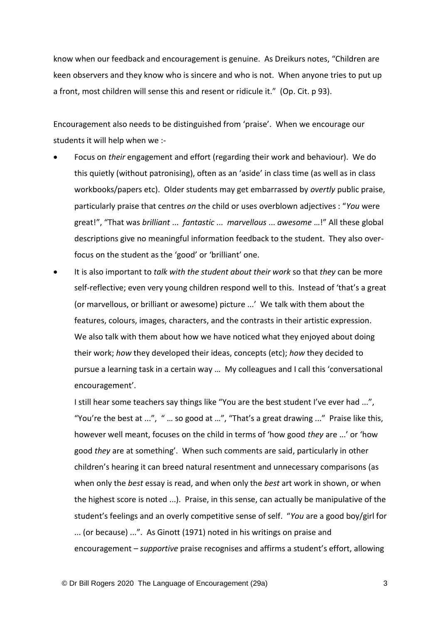know when our feedback and encouragement is genuine. As Dreikurs notes, "Children are keen observers and they know who is sincere and who is not. When anyone tries to put up a front, most children will sense this and resent or ridicule it." (Op. Cit. p 93).

Encouragement also needs to be distinguished from 'praise'. When we encourage our students it will help when we :-

- Focus on *their* engagement and effort (regarding their work and behaviour). We do this quietly (without patronising), often as an 'aside' in class time (as well as in class workbooks/papers etc). Older students may get embarrassed by *overtly* public praise, particularly praise that centres *on* the child or uses overblown adjectives : "*You* were great!", "That was *brilliant* ... *fantastic* ... *marvellous* ... *awesome* …!" All these global descriptions give no meaningful information feedback to the student. They also overfocus on the student as the 'good' or 'brilliant' one.
- It is also important to *talk with the student about their work* so that *they* can be more self-reflective; even very young children respond well to this. Instead of 'that's a great (or marvellous, or brilliant or awesome) picture ...' We talk with them about the features, colours, images, characters, and the contrasts in their artistic expression. We also talk with them about how we have noticed what they enjoyed about doing their work; *how* they developed their ideas, concepts (etc); *how* they decided to pursue a learning task in a certain way … My colleagues and I call this 'conversational encouragement'.

I still hear some teachers say things like "You are the best student I've ever had ...", "You're the best at ...", " … so good at …", "That's a great drawing ..." Praise like this, however well meant, focuses on the child in terms of 'how good *they* are ...' or 'how good *they* are at something'. When such comments are said, particularly in other children's hearing it can breed natural resentment and unnecessary comparisons (as when only the *best* essay is read, and when only the *best* art work in shown, or when the highest score is noted ...). Praise, in this sense, can actually be manipulative of the student's feelings and an overly competitive sense of self. "*You* are a good boy/girl for ... (or because) ...". As Ginott (1971) noted in his writings on praise and encouragement – *supportive* praise recognises and affirms a student's effort, allowing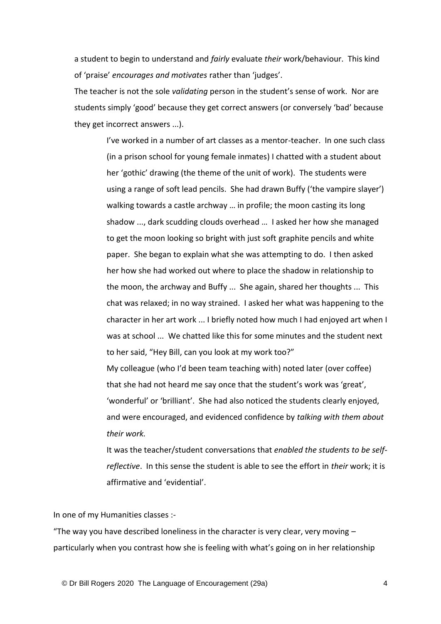a student to begin to understand and *fairly* evaluate *their* work/behaviour. This kind of 'praise' *encourages and motivates* rather than 'judges'.

The teacher is not the sole *validating* person in the student's sense of work. Nor are students simply 'good' because they get correct answers (or conversely 'bad' because they get incorrect answers ...).

> I've worked in a number of art classes as a mentor-teacher. In one such class (in a prison school for young female inmates) I chatted with a student about her 'gothic' drawing (the theme of the unit of work). The students were using a range of soft lead pencils. She had drawn Buffy ('the vampire slayer') walking towards a castle archway … in profile; the moon casting its long shadow ..., dark scudding clouds overhead … I asked her how she managed to get the moon looking so bright with just soft graphite pencils and white paper. She began to explain what she was attempting to do. I then asked her how she had worked out where to place the shadow in relationship to the moon, the archway and Buffy ... She again, shared her thoughts ... This chat was relaxed; in no way strained. I asked her what was happening to the character in her art work ... I briefly noted how much I had enjoyed art when I was at school ... We chatted like this for some minutes and the student next to her said, "Hey Bill, can you look at my work too?" My colleague (who I'd been team teaching with) noted later (over coffee)

that she had not heard me say once that the student's work was 'great', 'wonderful' or 'brilliant'. She had also noticed the students clearly enjoyed, and were encouraged, and evidenced confidence by *talking with them about their work.*

It was the teacher/student conversations that *enabled the students to be selfreflective*. In this sense the student is able to see the effort in *their* work; it is affirmative and 'evidential'.

In one of my Humanities classes :-

"The way you have described loneliness in the character is very clear, very moving  $$ particularly when you contrast how she is feeling with what's going on in her relationship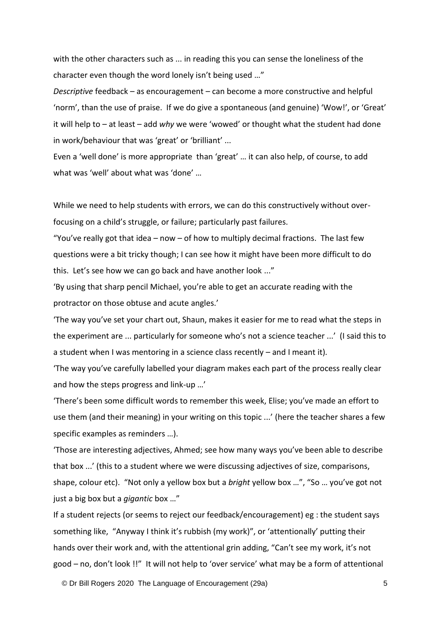with the other characters such as ... in reading this you can sense the loneliness of the character even though the word lonely isn't being used …"

*Descriptive* feedback – as encouragement – can become a more constructive and helpful 'norm', than the use of praise. If we do give a spontaneous (and genuine) 'Wow!', or 'Great' it will help to – at least – add *why* we were 'wowed' or thought what the student had done in work/behaviour that was 'great' or 'brilliant' ...

Even a 'well done' is more appropriate than 'great' … it can also help, of course, to add what was 'well' about what was 'done' …

While we need to help students with errors, we can do this constructively without overfocusing on a child's struggle, or failure; particularly past failures.

"You've really got that idea  $-$  now  $-$  of how to multiply decimal fractions. The last few questions were a bit tricky though; I can see how it might have been more difficult to do this. Let's see how we can go back and have another look ..."

'By using that sharp pencil Michael, you're able to get an accurate reading with the protractor on those obtuse and acute angles.'

'The way you've set your chart out, Shaun, makes it easier for me to read what the steps in the experiment are ... particularly for someone who's not a science teacher ...' (I said this to a student when I was mentoring in a science class recently – and I meant it).

'The way you've carefully labelled your diagram makes each part of the process really clear and how the steps progress and link-up …'

'There's been some difficult words to remember this week, Elise; you've made an effort to use them (and their meaning) in your writing on this topic ...' (here the teacher shares a few specific examples as reminders …).

'Those are interesting adjectives, Ahmed; see how many ways you've been able to describe that box ...' (this to a student where we were discussing adjectives of size, comparisons, shape, colour etc). "Not only a yellow box but a *bright* yellow box …", "So … you've got not just a big box but a *gigantic* box …"

If a student rejects (or seems to reject our feedback/encouragement) eg : the student says something like, "Anyway I think it's rubbish (my work)", or 'attentionally' putting their hands over their work and, with the attentional grin adding, "Can't see my work, it's not good – no, don't look !!" It will not help to 'over service' what may be a form of attentional

© Dr Bill Rogers 2020 The Language of Encouragement (29a) 5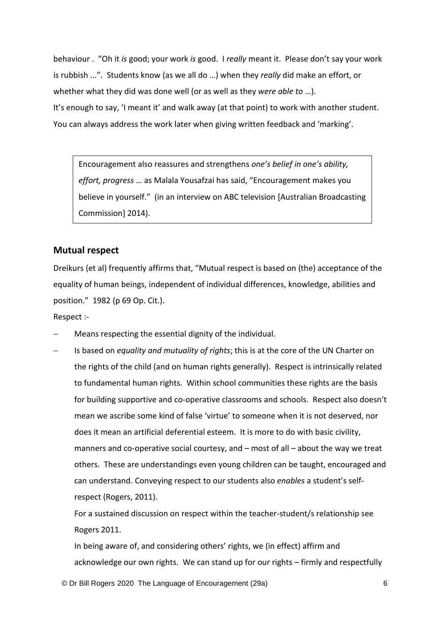behaviour . "Oh it *is* good; your work *is* good. I *really* meant it. Please don't say your work is rubbish ...". Students know (as we all do …) when they *really* did make an effort, or whether what they did was done well (or as well as they *were able to* …). It's enough to say, 'I meant it' and walk away (at that point) to work with another student. You can always address the work later when giving written feedback and 'marking'.

Encouragement also reassures and strengthens *one's belief in one's ability, effort, progress* … as Malala Yousafzai has said, "Encouragement makes you believe in yourself." (in an interview on ABC television [Australian Broadcasting Commission] 2014).

## **Mutual respect**

Dreikurs (et al) frequently affirms that, "Mutual respect is based on (the) acceptance of the equality of human beings, independent of individual differences, knowledge, abilities and position." 1982 (p 69 Op. Cit.).

Respect :-

- − Means respecting the essential dignity of the individual.
- − Is based on *equality and mutuality of rights*; this is at the core of the UN Charter on the rights of the child (and on human rights generally). Respect is intrinsically related to fundamental human rights. Within school communities these rights are the basis for building supportive and co-operative classrooms and schools. Respect also doesn't mean we ascribe some kind of false 'virtue' to someone when it is not deserved, nor does it mean an artificial deferential esteem. It is more to do with basic civility, manners and co-operative social courtesy, and – most of all – about the way we treat others. These are understandings even young children can be taught, encouraged and can understand. Conveying respect to our students also *enables* a student's selfrespect (Rogers, 2011).

For a sustained discussion on respect within the teacher-student/s relationship see Rogers 2011.

In being aware of, and considering others' rights, we (in effect) affirm and acknowledge our own rights. We can stand up for our rights – firmly and respectfully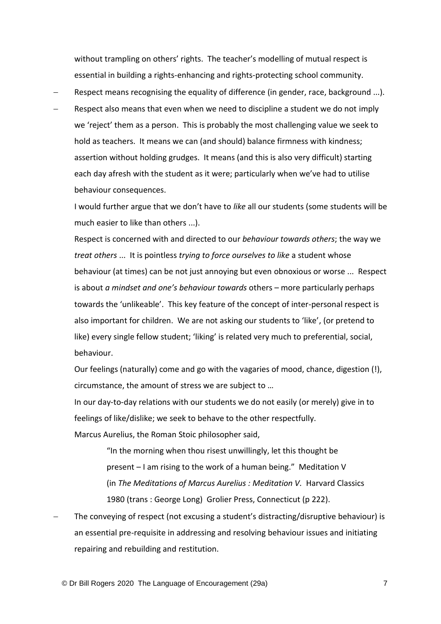without trampling on others' rights. The teacher's modelling of mutual respect is essential in building a rights-enhancing and rights-protecting school community.

- Respect means recognising the equality of difference (in gender, race, background ...).
- Respect also means that even when we need to discipline a student we do not imply we 'reject' them as a person. This is probably the most challenging value we seek to hold as teachers. It means we can (and should) balance firmness with kindness; assertion without holding grudges. It means (and this is also very difficult) starting each day afresh with the student as it were; particularly when we've had to utilise behaviour consequences.

I would further argue that we don't have to *like* all our students (some students will be much easier to like than others ...).

Respect is concerned with and directed to our *behaviour towards others*; the way we *treat others* ... It is pointless *trying to force ourselves to like* a student whose behaviour (at times) can be not just annoying but even obnoxious or worse ... Respect is about *a mindset and one's behaviour towards* others – more particularly perhaps towards the 'unlikeable'. This key feature of the concept of inter-personal respect is also important for children. We are not asking our students to 'like', (or pretend to like) every single fellow student; 'liking' is related very much to preferential, social, behaviour.

Our feelings (naturally) come and go with the vagaries of mood, chance, digestion (!), circumstance, the amount of stress we are subject to …

In our day-to-day relations with our students we do not easily (or merely) give in to feelings of like/dislike; we seek to behave to the other respectfully.

Marcus Aurelius, the Roman Stoic philosopher said,

"In the morning when thou risest unwillingly, let this thought be present – I am rising to the work of a human being." Meditation V (in *The Meditations of Marcus Aurelius : Meditation V.* Harvard Classics 1980 (trans : George Long) Grolier Press, Connecticut (p 222).

The conveying of respect (not excusing a student's distracting/disruptive behaviour) is an essential pre-requisite in addressing and resolving behaviour issues and initiating repairing and rebuilding and restitution.